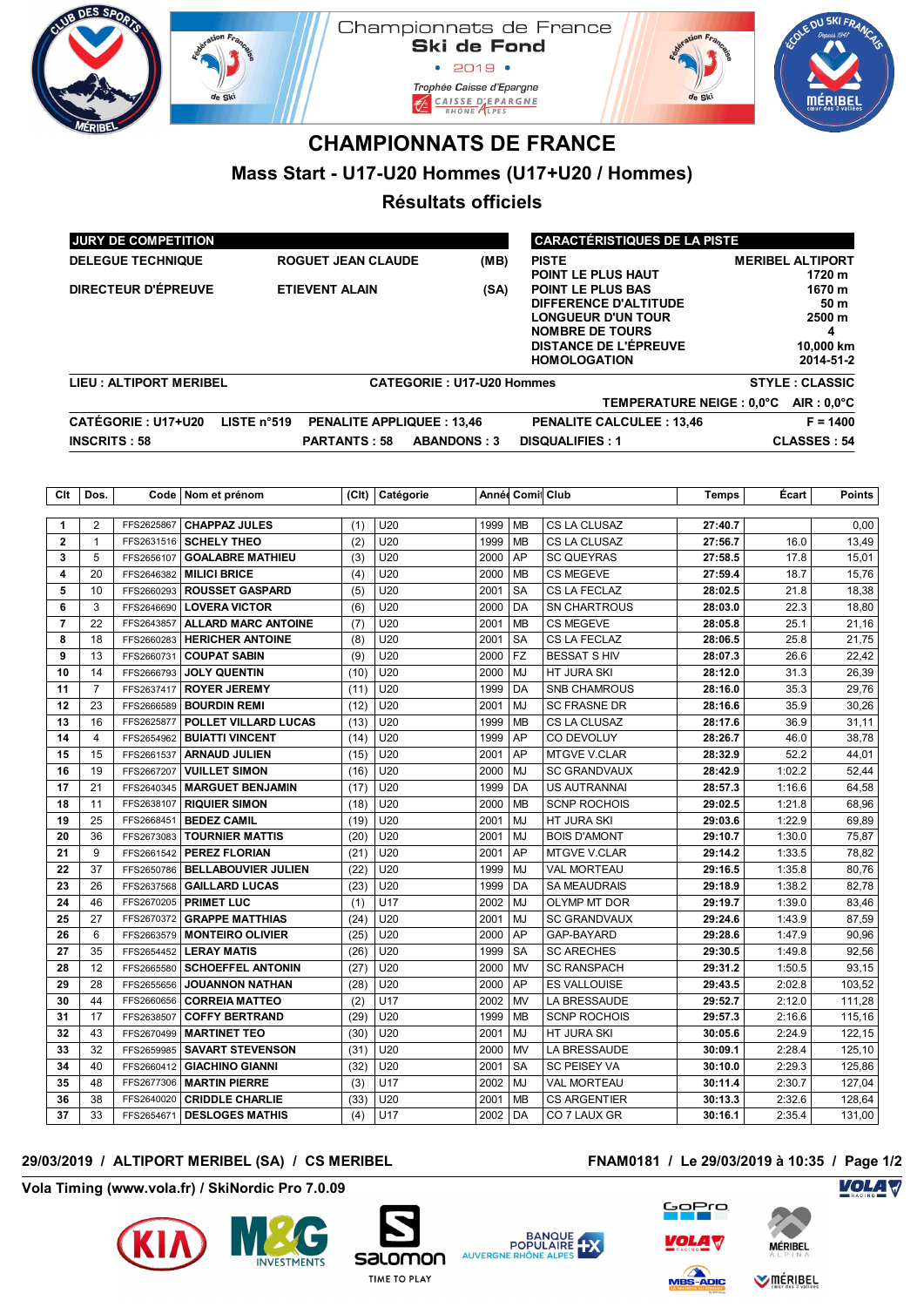

# **CHAMPIONNATS DE FRANCE**

## **Mass Start - U17-U20 Hommes (U17+U20 / Hommes)**

## **Résultats officiels**

| <b>JURY DE COMPETITION</b>    |             |                                  | <b>CARACTÉRISTIQUES DE LA PISTE</b> |                                                                                                                                                                 |                                                                   |  |
|-------------------------------|-------------|----------------------------------|-------------------------------------|-----------------------------------------------------------------------------------------------------------------------------------------------------------------|-------------------------------------------------------------------|--|
| <b>DELEGUE TECHNIQUE</b>      |             | <b>ROGUET JEAN CLAUDE</b>        | (MB)                                | <b>PISTE</b><br>POINT LE PLUS HAUT                                                                                                                              | <b>MERIBEL ALTIPORT</b><br>1720 m                                 |  |
| <b>DIRECTEUR D'ÉPREUVE</b>    |             | <b>ETIEVENT ALAIN</b>            | (SA)                                | <b>POINT LE PLUS BAS</b><br>DIFFERENCE D'ALTITUDE<br><b>LONGUEUR D'UN TOUR</b><br><b>NOMBRE DE TOURS</b><br><b>DISTANCE DE L'ÉPREUVE</b><br><b>HOMOLOGATION</b> | 1670 m<br>50 m<br>$2500 \text{ m}$<br>4<br>10,000 km<br>2014-51-2 |  |
| <b>LIEU: ALTIPORT MERIBEL</b> |             |                                  | <b>CATEGORIE: U17-U20 Hommes</b>    |                                                                                                                                                                 | <b>STYLE: CLASSIC</b>                                             |  |
|                               |             |                                  |                                     | TEMPERATURE NEIGE: 0.0°C                                                                                                                                        | $AIR: 0.0^{\circ}C$                                               |  |
| <b>CATÉGORIE : U17+U20</b>    | LISTE n°519 | <b>PENALITE APPLIQUEE: 13,46</b> |                                     | <b>PENALITE CALCULEE: 13,46</b>                                                                                                                                 | $F = 1400$                                                        |  |
| <b>INSCRITS: 58</b>           |             | <b>PARTANTS: 58</b>              | <b>ABANDONS: 3</b>                  | <b>DISQUALIFIES: 1</b>                                                                                                                                          | <b>CLASSES: 54</b>                                                |  |

| Clt          | Dos.           |            | Code   Nom et prénom       | (Clt) | Catégorie       |      | Année Comi Club |                     | <b>Temps</b> | Écart  | <b>Points</b> |
|--------------|----------------|------------|----------------------------|-------|-----------------|------|-----------------|---------------------|--------------|--------|---------------|
|              |                |            |                            |       |                 |      |                 |                     |              |        |               |
| $\mathbf{1}$ | $\overline{2}$ | FFS2625867 | <b>CHAPPAZ JULES</b>       | (1)   | U20             | 1999 | <b>MB</b>       | CS LA CLUSAZ        | 27:40.7      |        | 0,00          |
| $\mathbf{2}$ | $\mathbf{1}$   | FFS2631516 | <b>SCHELY THEO</b>         | (2)   | U20             | 1999 | <b>MB</b>       | CS LA CLUSAZ        | 27:56.7      | 16.0   | 13,49         |
| 3            | 5              | FFS2656107 | <b>GOALABRE MATHIEU</b>    | (3)   | U20             | 2000 | AP              | <b>SC QUEYRAS</b>   | 27:58.5      | 17.8   | 15,01         |
| 4            | 20             | FFS2646382 | <b>MILICI BRICE</b>        | (4)   | U20             | 2000 | <b>MB</b>       | <b>CS MEGEVE</b>    | 27:59.4      | 18.7   | 15,76         |
| 5            | 10             | FFS2660293 | <b>ROUSSET GASPARD</b>     | (5)   | U20             | 2001 | <b>SA</b>       | CS LA FECLAZ        | 28:02.5      | 21.8   | 18,38         |
| 6            | 3              | FFS2646690 | <b>LOVERA VICTOR</b>       | (6)   | U20             | 2000 | DA              | <b>SN CHARTROUS</b> | 28:03.0      | 22.3   | 18,80         |
| 7            | 22             | FFS2643857 | <b>ALLARD MARC ANTOINE</b> | (7)   | U20             | 2001 | <b>MB</b>       | <b>CS MEGEVE</b>    | 28:05.8      | 25.1   | 21,16         |
| 8            | 18             | FFS2660283 | <b>HERICHER ANTOINE</b>    | (8)   | U20             | 2001 | <b>SA</b>       | CS LA FECLAZ        | 28:06.5      | 25.8   | 21,75         |
| 9            | 13             | FFS2660731 | <b>COUPAT SABIN</b>        | (9)   | U20             | 2000 | <b>FZ</b>       | <b>BESSAT S HIV</b> | 28:07.3      | 26.6   | 22,42         |
| 10           | 14             | FFS2666793 | <b>JOLY QUENTIN</b>        | (10)  | U20             | 2000 | <b>MJ</b>       | HT JURA SKI         | 28:12.0      | 31.3   | 26,39         |
| 11           | $\overline{7}$ | FFS2637417 | <b>ROYER JEREMY</b>        | (11)  | U20             | 1999 | DA              | <b>SNB CHAMROUS</b> | 28:16.0      | 35.3   | 29,76         |
| 12           | 23             | FFS2666589 | <b>BOURDIN REMI</b>        | (12)  | U20             | 2001 | MJ              | <b>SC FRASNE DR</b> | 28:16.6      | 35.9   | 30,26         |
| 13           | 16             | FFS2625877 | POLLET VILLARD LUCAS       | (13)  | U20             | 1999 | <b>MB</b>       | CS LA CLUSAZ        | 28:17.6      | 36.9   | 31,11         |
| 14           | 4              | FFS2654962 | <b>BUIATTI VINCENT</b>     | (14)  | U20             | 1999 | AP              | CO DEVOLUY          | 28:26.7      | 46.0   | 38,78         |
| 15           | 15             | FFS2661537 | <b>ARNAUD JULIEN</b>       | (15)  | U20             | 2001 | AP              | <b>MTGVE V.CLAR</b> | 28:32.9      | 52.2   | 44,01         |
| 16           | 19             | FFS2667207 | <b>VUILLET SIMON</b>       | (16)  | U20             | 2000 | MJ              | <b>SC GRANDVAUX</b> | 28:42.9      | 1:02.2 | 52,44         |
| 17           | 21             | FFS2640345 | <b>MARGUET BENJAMIN</b>    | (17)  | U20             | 1999 | DA              | <b>US AUTRANNAI</b> | 28:57.3      | 1:16.6 | 64,58         |
| 18           | 11             | FFS2638107 | <b>RIQUIER SIMON</b>       | (18)  | U20             | 2000 | <b>MB</b>       | <b>SCNP ROCHOIS</b> | 29:02.5      | 1:21.8 | 68,96         |
| 19           | 25             | FFS2668451 | <b>BEDEZ CAMIL</b>         | (19)  | U20             | 2001 | MJ              | HT JURA SKI         | 29:03.6      | 1:22.9 | 69,89         |
| 20           | 36             | FFS2673083 | <b>TOURNIER MATTIS</b>     | (20)  | U20             | 2001 | <b>MJ</b>       | <b>BOIS D'AMONT</b> | 29:10.7      | 1:30.0 | 75,87         |
| 21           | 9              | FFS2661542 | <b>PEREZ FLORIAN</b>       | (21)  | U20             | 2001 | AP              | <b>MTGVE V.CLAR</b> | 29:14.2      | 1:33.5 | 78,82         |
| 22           | 37             | FFS2650786 | <b>BELLABOUVIER JULIEN</b> | (22)  | U20             | 1999 | <b>MJ</b>       | <b>VAL MORTEAU</b>  | 29:16.5      | 1:35.8 | 80,76         |
| 23           | 26             | FFS2637568 | <b>GAILLARD LUCAS</b>      | (23)  | U20             | 1999 | DA              | <b>SA MEAUDRAIS</b> | 29:18.9      | 1:38.2 | 82,78         |
| 24           | 46             | FFS2670205 | <b>PRIMET LUC</b>          | (1)   | U <sub>17</sub> | 2002 | MJ              | <b>OLYMP MT DOR</b> | 29:19.7      | 1:39.0 | 83,46         |
| 25           | 27             | FFS2670372 | <b>GRAPPE MATTHIAS</b>     | (24)  | U20             | 2001 | MJ              | <b>SC GRANDVAUX</b> | 29:24.6      | 1:43.9 | 87,59         |
| 26           | 6              | FFS2663579 | <b>MONTEIRO OLIVIER</b>    | (25)  | U20             | 2000 | AP              | GAP-BAYARD          | 29:28.6      | 1:47.9 | 90,96         |
| 27           | 35             | FFS2654452 | <b>LERAY MATIS</b>         | (26)  | U20             | 1999 | <b>SA</b>       | <b>SC ARECHES</b>   | 29:30.5      | 1:49.8 | 92,56         |
| 28           | 12             | FFS2665580 | <b>SCHOEFFEL ANTONIN</b>   | (27)  | U20             | 2000 | <b>MV</b>       | <b>SC RANSPACH</b>  | 29:31.2      | 1:50.5 | 93,15         |
| 29           | 28             | FFS2655656 | <b>JOUANNON NATHAN</b>     | (28)  | U20             | 2000 | AP              | <b>ES VALLOUISE</b> | 29:43.5      | 2:02.8 | 103,52        |
| 30           | 44             | FFS2660656 | <b>CORREIA MATTEO</b>      | (2)   | U17             | 2002 | <b>MV</b>       | LA BRESSAUDE        | 29:52.7      | 2:12.0 | 111,28        |
| 31           | 17             | FFS2638507 | <b>COFFY BERTRAND</b>      | (29)  | U20             | 1999 | <b>MB</b>       | <b>SCNP ROCHOIS</b> | 29:57.3      | 2:16.6 | 115,16        |
| 32           | 43             | FFS2670499 | <b>MARTINET TEO</b>        | (30)  | U20             | 2001 | MJ              | HT JURA SKI         | 30:05.6      | 2:24.9 | 122,15        |
| 33           | 32             | FFS2659985 | <b>SAVART STEVENSON</b>    | (31)  | U20             | 2000 | MV              | LA BRESSAUDE        | 30:09.1      | 2:28.4 | 125,10        |
| 34           | 40             | FFS2660412 | <b>GIACHINO GIANNI</b>     | (32)  | U20             | 2001 | <b>SA</b>       | <b>SC PEISEY VA</b> | 30:10.0      | 2:29.3 | 125,86        |
| 35           | 48             | FFS2677306 | <b>MARTIN PIERRE</b>       | (3)   | U17             | 2002 | <b>MJ</b>       | <b>VAL MORTEAU</b>  | 30:11.4      | 2:30.7 | 127,04        |
| 36           | 38             | FFS2640020 | <b>CRIDDLE CHARLIE</b>     | (33)  | U20             | 2001 | <b>MB</b>       | <b>CS ARGENTIER</b> | 30:13.3      | 2:32.6 | 128,64        |
| 37           | 33             | FFS2654671 | <b>DESLOGES MATHIS</b>     | (4)   | U17             | 2002 | DA              | CO 7 LAUX GR        | 30:16.1      | 2:35.4 | 131,00        |

### **29/03/2019 / ALTIPORT MERIBEL (SA) / CS MERIBEL FNAM0181 / Le 29/03/2019 à 10:35 / Page 1/2**

#### **Vola Timing (www.vola.fr) / SkiNordic Pro 7.0.09**















**Volash Polandi WMÉRIBEL** 

**VOLA V**